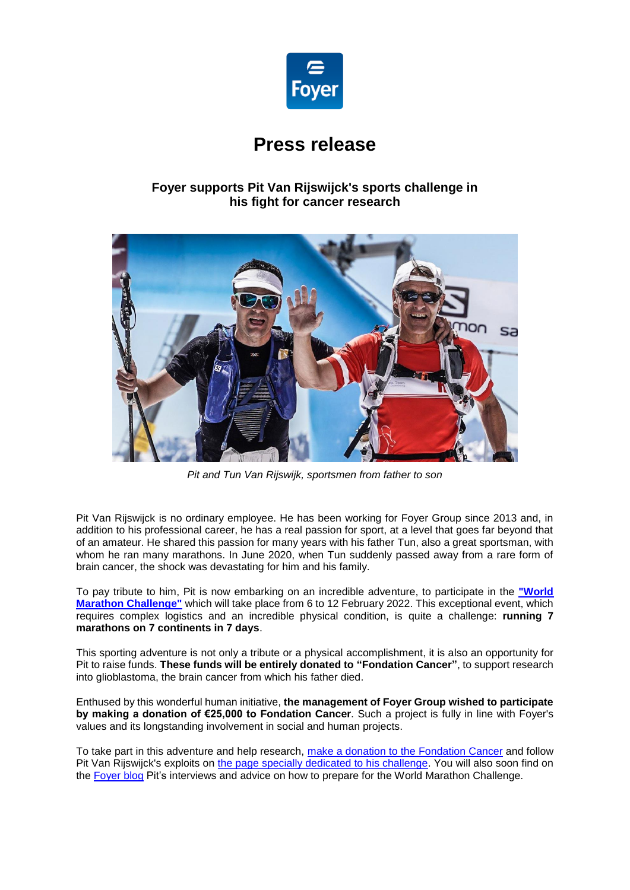

# **Press release**

## **Foyer supports Pit Van Rijswijck's sports challenge in his fight for cancer research**



*Pit and Tun Van Rijswijk, sportsmen from father to son*

Pit Van Rijswijck is no ordinary employee. He has been working for Foyer Group since 2013 and, in addition to his professional career, he has a real passion for sport, at a level that goes far beyond that of an amateur. He shared this passion for many years with his father Tun, also a great sportsman, with whom he ran many marathons. In June 2020, when Tun suddenly passed away from a rare form of brain cancer, the shock was devastating for him and his family.

To pay tribute to him, Pit is now embarking on an incredible adventure, to participate in the **["World](https://worldmarathonchallenge.com/)  [Marathon Challenge"](https://worldmarathonchallenge.com/)** which will take place from 6 to 12 February 2022. This exceptional event, which requires complex logistics and an incredible physical condition, is quite a challenge: **running 7 marathons on 7 continents in 7 days**.

This sporting adventure is not only a tribute or a physical accomplishment, it is also an opportunity for Pit to raise funds. **These funds will be entirely donated to "Fondation Cancer"**, to support research into glioblastoma, the brain cancer from which his father died.

Enthused by this wonderful human initiative, **the management of Foyer Group wished to participate by making a donation of €25,000 to Fondation Cancer**. Such a project is fully in line with Foyer's values and its longstanding involvement in social and human projects.

To take part in this adventure and help research, [make a donation to the](https://don.cancer.lu/runningagainstcancer/~mon-don) Fondation Cancer and follow Pit Van Rijswijck's exploits on [the page specially dedicated to his challenge.](https://www.bce.lu/running-against-cancer/) You will also soon find on the [Foyer blog](https://www.foyer.lu/fr/blog) Pit's interviews and advice on how to prepare for the World Marathon Challenge.